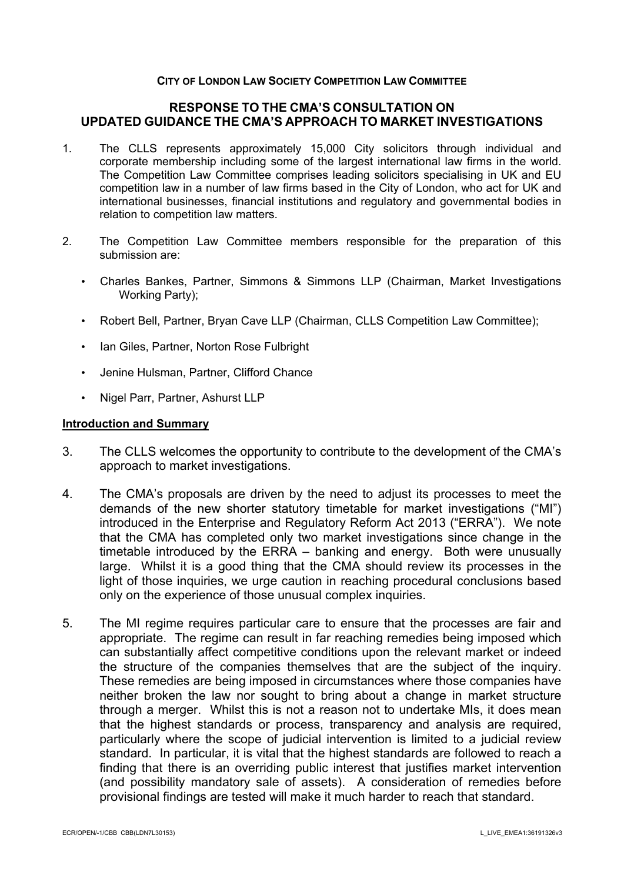#### **CITY OF LONDON LAW SOCIETY COMPETITION LAW COMMITTEE**

## **RESPONSE TO THE CMA'S CONSULTATION ON UPDATED GUIDANCE THE CMA'S APPROACH TO MARKET INVESTIGATIONS**

- 1. The CLLS represents approximately 15,000 City solicitors through individual and corporate membership including some of the largest international law firms in the world. The Competition Law Committee comprises leading solicitors specialising in UK and EU competition law in a number of law firms based in the City of London, who act for UK and international businesses, financial institutions and regulatory and governmental bodies in relation to competition law matters.
- 2. The Competition Law Committee members responsible for the preparation of this submission are:
	- Charles Bankes, Partner, Simmons & Simmons LLP (Chairman, Market Investigations Working Party);
	- Robert Bell, Partner, Bryan Cave LLP (Chairman, CLLS Competition Law Committee);
	- Ian Giles, Partner, Norton Rose Fulbright
	- Jenine Hulsman, Partner, Clifford Chance
	- Nigel Parr, Partner, Ashurst LLP

#### **Introduction and Summary**

- 3. The CLLS welcomes the opportunity to contribute to the development of the CMA's approach to market investigations.
- 4. The CMA's proposals are driven by the need to adjust its processes to meet the demands of the new shorter statutory timetable for market investigations ("MI") introduced in the Enterprise and Regulatory Reform Act 2013 ("ERRA"). We note that the CMA has completed only two market investigations since change in the timetable introduced by the ERRA – banking and energy. Both were unusually large. Whilst it is a good thing that the CMA should review its processes in the light of those inquiries, we urge caution in reaching procedural conclusions based only on the experience of those unusual complex inquiries.
- 5. The MI regime requires particular care to ensure that the processes are fair and appropriate. The regime can result in far reaching remedies being imposed which can substantially affect competitive conditions upon the relevant market or indeed the structure of the companies themselves that are the subject of the inquiry. These remedies are being imposed in circumstances where those companies have neither broken the law nor sought to bring about a change in market structure through a merger. Whilst this is not a reason not to undertake MIs, it does mean that the highest standards or process, transparency and analysis are required, particularly where the scope of judicial intervention is limited to a judicial review standard. In particular, it is vital that the highest standards are followed to reach a finding that there is an overriding public interest that justifies market intervention (and possibility mandatory sale of assets). A consideration of remedies before provisional findings are tested will make it much harder to reach that standard.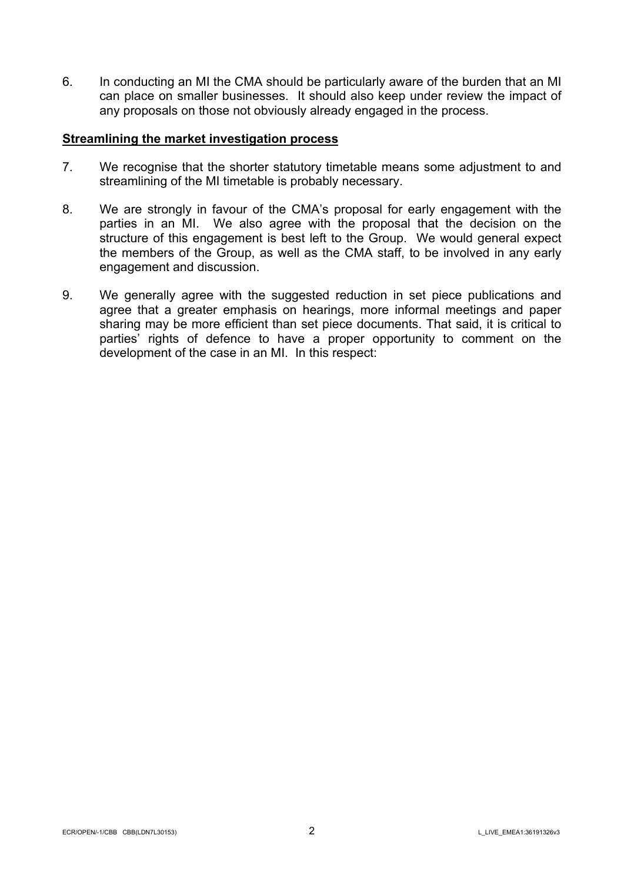6. In conducting an MI the CMA should be particularly aware of the burden that an MI can place on smaller businesses. It should also keep under review the impact of any proposals on those not obviously already engaged in the process.

## **Streamlining the market investigation process**

- 7. We recognise that the shorter statutory timetable means some adjustment to and streamlining of the MI timetable is probably necessary.
- 8. We are strongly in favour of the CMA's proposal for early engagement with the parties in an MI. We also agree with the proposal that the decision on the structure of this engagement is best left to the Group. We would general expect the members of the Group, as well as the CMA staff, to be involved in any early engagement and discussion.
- 9. We generally agree with the suggested reduction in set piece publications and agree that a greater emphasis on hearings, more informal meetings and paper sharing may be more efficient than set piece documents. That said, it is critical to parties' rights of defence to have a proper opportunity to comment on the development of the case in an MI. In this respect: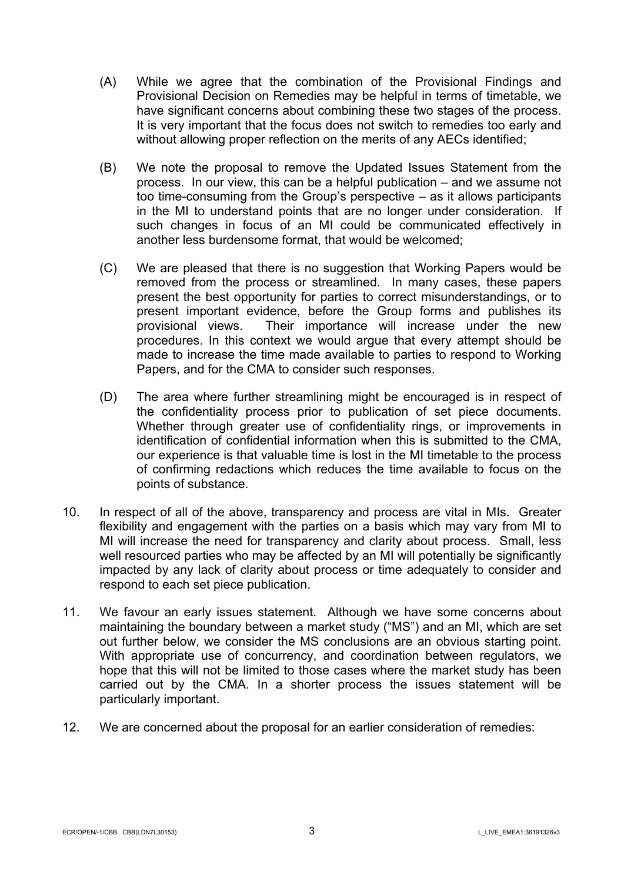- (A) While we agree that the combination of the Provisional Findings and Provisional Decision on Remedies may be helpful in terms of timetable, we have significant concerns about combining these two stages of the process. It is very important that the focus does not switch to remedies too early and without allowing proper reflection on the merits of any AECs identified;
- (B) We note the proposal to remove the Updated Issues Statement from the process. In our view, this can be a helpful publication – and we assume not too time-consuming from the Group's perspective – as it allows participants in the MI to understand points that are no longer under consideration. If such changes in focus of an MI could be communicated effectively in another less burdensome format, that would be welcomed;
- (C) We are pleased that there is no suggestion that Working Papers would be removed from the process or streamlined. In many cases, these papers present the best opportunity for parties to correct misunderstandings, or to present important evidence, before the Group forms and publishes its provisional views. Their importance will increase under the new procedures. In this context we would argue that every attempt should be made to increase the time made available to parties to respond to Working Papers, and for the CMA to consider such responses.
- (D) The area where further streamlining might be encouraged is in respect of the confidentiality process prior to publication of set piece documents. Whether through greater use of confidentiality rings, or improvements in identification of confidential information when this is submitted to the CMA, our experience is that valuable time is lost in the MI timetable to the process of confirming redactions which reduces the time available to focus on the points of substance.
- 10. In respect of all of the above, transparency and process are vital in MIs. Greater flexibility and engagement with the parties on a basis which may vary from MI to MI will increase the need for transparency and clarity about process. Small, less well resourced parties who may be affected by an MI will potentially be significantly impacted by any lack of clarity about process or time adequately to consider and respond to each set piece publication.
- 11. We favour an early issues statement. Although we have some concerns about maintaining the boundary between a market study ("MS") and an MI, which are set out further below, we consider the MS conclusions are an obvious starting point. With appropriate use of concurrency, and coordination between regulators, we hope that this will not be limited to those cases where the market study has been carried out by the CMA. In a shorter process the issues statement will be particularly important.
- 12. We are concerned about the proposal for an earlier consideration of remedies: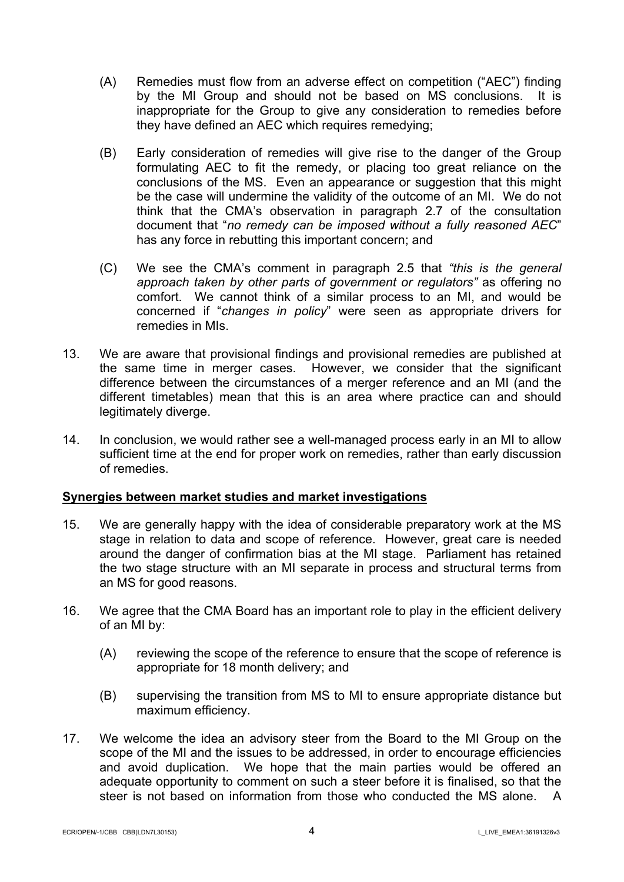- (A) Remedies must flow from an adverse effect on competition ("AEC") finding by the MI Group and should not be based on MS conclusions. It is inappropriate for the Group to give any consideration to remedies before they have defined an AEC which requires remedying;
- (B) Early consideration of remedies will give rise to the danger of the Group formulating AEC to fit the remedy, or placing too great reliance on the conclusions of the MS. Even an appearance or suggestion that this might be the case will undermine the validity of the outcome of an MI. We do not think that the CMA's observation in paragraph 2.7 of the consultation document that "*no remedy can be imposed without a fully reasoned AEC*" has any force in rebutting this important concern; and
- (C) We see the CMA's comment in paragraph 2.5 that *"this is the general approach taken by other parts of government or regulators"* as offering no comfort. We cannot think of a similar process to an MI, and would be concerned if "*changes in policy*" were seen as appropriate drivers for remedies in MIs.
- 13. We are aware that provisional findings and provisional remedies are published at the same time in merger cases. However, we consider that the significant difference between the circumstances of a merger reference and an MI (and the different timetables) mean that this is an area where practice can and should legitimately diverge.
- 14. In conclusion, we would rather see a well-managed process early in an MI to allow sufficient time at the end for proper work on remedies, rather than early discussion of remedies.

# **Synergies between market studies and market investigations**

- 15. We are generally happy with the idea of considerable preparatory work at the MS stage in relation to data and scope of reference. However, great care is needed around the danger of confirmation bias at the MI stage. Parliament has retained the two stage structure with an MI separate in process and structural terms from an MS for good reasons.
- 16. We agree that the CMA Board has an important role to play in the efficient delivery of an MI by:
	- (A) reviewing the scope of the reference to ensure that the scope of reference is appropriate for 18 month delivery; and
	- (B) supervising the transition from MS to MI to ensure appropriate distance but maximum efficiency.
- 17. We welcome the idea an advisory steer from the Board to the MI Group on the scope of the MI and the issues to be addressed, in order to encourage efficiencies and avoid duplication. We hope that the main parties would be offered an adequate opportunity to comment on such a steer before it is finalised, so that the steer is not based on information from those who conducted the MS alone. A